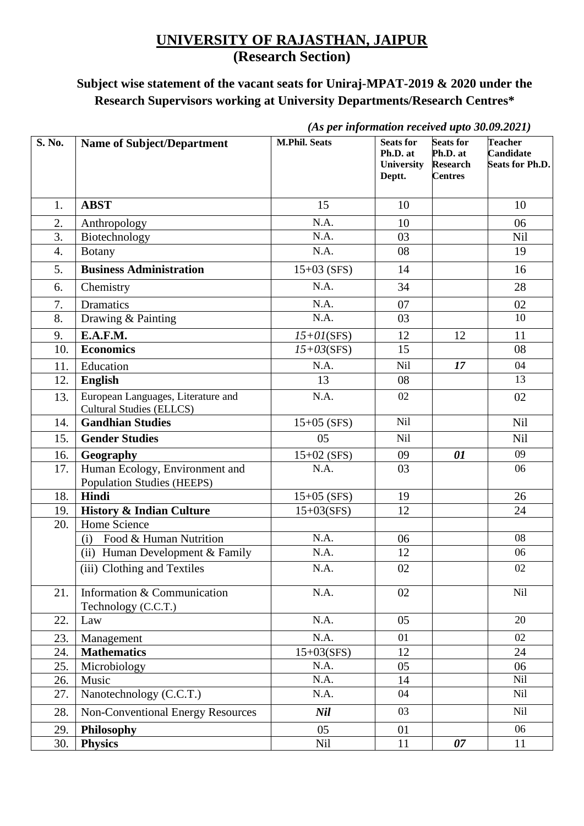## **UNIVERSITY OF RAJASTHAN, JAIPUR (Research Section)**

## **Subject wise statement of the vacant seats for Uniraj-MPAT-2019 & 2020 under the Research Supervisors working at University Departments/Research Centres\***

|        |                                                                       | (As per information received upto 30.09.2021) |                                                             |                                                                   |                                                       |  |
|--------|-----------------------------------------------------------------------|-----------------------------------------------|-------------------------------------------------------------|-------------------------------------------------------------------|-------------------------------------------------------|--|
| S. No. | <b>Name of Subject/Department</b>                                     | <b>M.Phil. Seats</b>                          | <b>Seats for</b><br>Ph.D. at<br><b>University</b><br>Deptt. | <b>Seats for</b><br>Ph.D. at<br><b>Research</b><br><b>Centres</b> | <b>Teacher</b><br><b>Candidate</b><br>Seats for Ph.D. |  |
| 1.     | <b>ABST</b>                                                           | 15                                            | 10                                                          |                                                                   | 10                                                    |  |
| 2.     | Anthropology                                                          | N.A.                                          | 10                                                          |                                                                   | 06                                                    |  |
| 3.     | Biotechnology                                                         | N.A.                                          | 03                                                          |                                                                   | Nil                                                   |  |
| 4.     | <b>Botany</b>                                                         | N.A.                                          | 08                                                          |                                                                   | 19                                                    |  |
| 5.     | <b>Business Administration</b>                                        | $15+03$ (SFS)                                 | 14                                                          |                                                                   | 16                                                    |  |
| 6.     | Chemistry                                                             | N.A.                                          | 34                                                          |                                                                   | 28                                                    |  |
| 7.     | <b>Dramatics</b>                                                      | N.A.                                          | 07                                                          |                                                                   | 02                                                    |  |
| 8.     | Drawing & Painting                                                    | N.A.                                          | 03                                                          |                                                                   | 10                                                    |  |
| 9.     | E.A.F.M.                                                              | $15+01$ (SFS)                                 | 12                                                          | 12                                                                | 11                                                    |  |
| 10.    | <b>Economics</b>                                                      | $15+03(SFS)$                                  | 15                                                          |                                                                   | 08                                                    |  |
| 11.    | Education                                                             | N.A.                                          | <b>Nil</b>                                                  | 17                                                                | 04                                                    |  |
| 12.    | <b>English</b>                                                        | 13                                            | 08                                                          |                                                                   | 13                                                    |  |
| 13.    | European Languages, Literature and<br><b>Cultural Studies (ELLCS)</b> | N.A.                                          | 02                                                          |                                                                   | 02                                                    |  |
| 14.    | <b>Gandhian Studies</b>                                               | $15+05$ (SFS)                                 | Nil                                                         |                                                                   | Nil                                                   |  |
| 15.    | <b>Gender Studies</b>                                                 | 05                                            | <b>Nil</b>                                                  |                                                                   | Nil                                                   |  |
| 16.    | Geography                                                             | $15+02$ (SFS)                                 | 09                                                          | 01                                                                | 09                                                    |  |
| 17.    | Human Ecology, Environment and<br><b>Population Studies (HEEPS)</b>   | N.A.                                          | 03                                                          |                                                                   | 06                                                    |  |
| 18.    | Hindi                                                                 | $15+05$ (SFS)                                 | 19                                                          |                                                                   | 26                                                    |  |
| 19.    | <b>History &amp; Indian Culture</b>                                   | $15+03(SFS)$                                  | 12                                                          |                                                                   | 24                                                    |  |
| 20.    | Home Science                                                          |                                               |                                                             |                                                                   |                                                       |  |
|        | Food & Human Nutrition<br>(i)                                         | N.A.                                          | 06                                                          |                                                                   | 08                                                    |  |
|        | (ii) Human Development & Family                                       | N.A.                                          | 12                                                          |                                                                   | 06                                                    |  |
|        | (iii) Clothing and Textiles                                           | N.A.                                          | 02                                                          |                                                                   | 02                                                    |  |
| 21.    | Information & Communication<br>Technology (C.C.T.)                    | N.A.                                          | 02                                                          |                                                                   | Nil                                                   |  |
| 22.    | Law                                                                   | N.A.                                          | 05                                                          |                                                                   | 20                                                    |  |
| 23.    | Management                                                            | N.A.                                          | 01                                                          |                                                                   | 02                                                    |  |
| 24.    | <b>Mathematics</b>                                                    | $15+03(SFS)$                                  | 12                                                          |                                                                   | 24                                                    |  |
| 25.    | Microbiology                                                          | N.A.                                          | 05                                                          |                                                                   | 06                                                    |  |
| 26.    | Music                                                                 | N.A.                                          | 14                                                          |                                                                   | <b>Nil</b>                                            |  |
| 27.    | Nanotechnology (C.C.T.)                                               | N.A.                                          | 04                                                          |                                                                   | <b>Nil</b>                                            |  |
| 28.    | <b>Non-Conventional Energy Resources</b>                              | <b>Nil</b>                                    | 03                                                          |                                                                   | Nil                                                   |  |
| 29.    | Philosophy                                                            | 05                                            | 01                                                          |                                                                   | 06                                                    |  |
| 30.    | <b>Physics</b>                                                        | Nil                                           | 11                                                          | 07                                                                | 11                                                    |  |